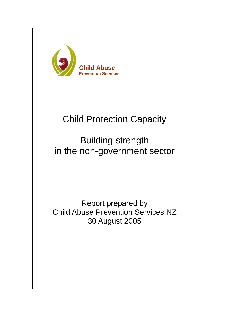

# Child Protection Capacity

# Building strength in the non-government sector

Report prepared by Child Abuse Prevention Services NZ 30 August 2005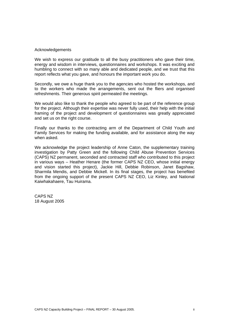#### Acknowledgements

We wish to express our gratitude to all the busy practitioners who gave their time, energy and wisdom in interviews, questionnaires and workshops. It was exciting and humbling to connect with so many able and dedicated people, and we trust that this report reflects what you gave, and honours the important work you do.

Secondly, we owe a huge thank you to the agencies who hosted the workshops, and to the workers who made the arrangements, sent out the fliers and organised refreshments. Their generous spirit permeated the meetings.

We would also like to thank the people who agreed to be part of the reference group for the project. Although their expertise was never fully used, their help with the initial framing of the project and development of questionnaires was greatly appreciated and set us on the right course.

Finally our thanks to the contracting arm of the Department of Child Youth and Family Services for making the funding available, and for assistance along the way when asked.

We acknowledge the project leadership of Anne Caton, the supplementary training investigation by Patty Green and the following Child Abuse Prevention Services (CAPS) NZ permanent, seconded and contracted staff who contributed to this project in various ways – Heather Henare (the former CAPS NZ CEO, whose initial energy and vision started this project), Jackie Hill, Debbie Robinson, Janet Bagshaw, Sharmila Mendis, and Debbie Mickell. In its final stages, the project has benefited from the ongoing support of the present CAPS NZ CEO, Liz Kinley, and National Kaiwhakahaere, Tau Huirama.

CAPS NZ 18 August 2005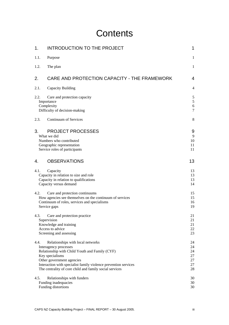# **Contents**

| 1.   | <b>INTRODUCTION TO THE PROJECT</b>                                                                                                                                                                                                                                                         | 1                                      |
|------|--------------------------------------------------------------------------------------------------------------------------------------------------------------------------------------------------------------------------------------------------------------------------------------------|----------------------------------------|
| 1.1. | Purpose                                                                                                                                                                                                                                                                                    | 1                                      |
| 1.2. | The plan                                                                                                                                                                                                                                                                                   | $\mathbf{1}$                           |
| 2.   | CARE AND PROTECTION CAPACITY - THE FRAMEWORK                                                                                                                                                                                                                                               | 4                                      |
| 2.1. | Capacity Building                                                                                                                                                                                                                                                                          | 4                                      |
| 2.2. | Care and protection capacity<br>Importance<br>Complexity<br>Difficulty of decision-making                                                                                                                                                                                                  | 5<br>$\mathfrak s$<br>$\sqrt{6}$<br>7  |
| 2.3. | Continuum of Services                                                                                                                                                                                                                                                                      | 8                                      |
| 3.   | <b>PROJECT PROCESSES</b><br>What we did<br>Numbers who contributed<br>Geographic representation<br>Service roles of participants                                                                                                                                                           | 9<br>9<br>10<br>11<br>11               |
| 4.   | <b>OBSERVATIONS</b>                                                                                                                                                                                                                                                                        | 13                                     |
| 4.1. | Capacity<br>Capacity in relation to size and role<br>Capacity in relation to qualifications<br>Capacity versus demand                                                                                                                                                                      | 13<br>13<br>13<br>14                   |
| 4.2. | Care and protection continuums<br>How agencies see themselves on the continuum of services<br>Continuum of roles, services and specialisms<br>Service gaps                                                                                                                                 | 15<br>15<br>16<br>19                   |
| 4.3. | Care and protection practice<br>Supervision<br>Knowledge and training<br>Access to advice<br>Screening and assessing                                                                                                                                                                       | 21<br>21<br>21<br>22<br>23             |
| 4.4. | Relationships with local networks<br>Interagency processes<br>Relationship with Child Youth and Family (CYF)<br>Key specialisms<br>Other government agencies<br>Interaction with specialist family violence prevention services<br>The centrality of core child and family social services | 24<br>24<br>24<br>27<br>27<br>27<br>28 |
| 4.5. | Relationships with funders<br>Funding inadequacies<br>Funding distortions                                                                                                                                                                                                                  | 30<br>30<br>30                         |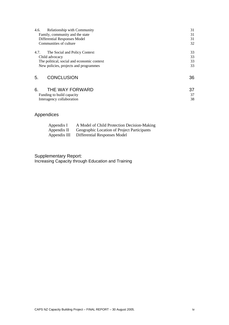| <b>Relationship with Community</b><br>4.6. |                                            | 31 |
|--------------------------------------------|--------------------------------------------|----|
| Family, community and the state            |                                            | 31 |
| Differential Responses Model               |                                            | 31 |
| Communities of culture                     |                                            | 32 |
| 4.7.<br>The Social and Policy Context      |                                            | 33 |
| Child advocacy                             |                                            | 33 |
|                                            | The political, social and economic context | 33 |
| New policies, projects and programmes      |                                            | 33 |
| <b>CONCLUSION</b><br>5.                    |                                            | 36 |
| 6.<br>THE WAY FORWARD                      |                                            | 37 |
| Funding to build capacity                  |                                            | 37 |
| Interagency collaboration                  |                                            | 38 |

# Appendices

Interagency collaboration

| Appendix I   | A Model of Child Protection Decision-Making |
|--------------|---------------------------------------------|
| Appendix II  | Geographic Location of Project Participants |
| Appendix III | Differential Responses Model                |

Supplementary Report: Increasing Capacity through Education and Training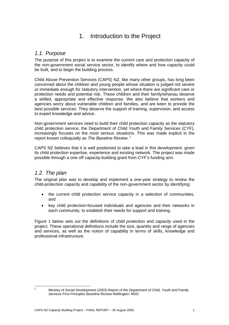# 1. Introduction to the Project

### *1.1. Purpose*

The purpose of this project is to examine the current care and protection capacity of the non-government social service sector, to identify where and how capacity could be built, and to begin the building process.

Child Abuse Prevention Services (CAPS) NZ, like many other groups, has long been concerned about the children and young people whose situation is judged not severe or immediate enough for statutory intervention, yet where there are significant care or protection needs and potential risk. These children and their family/whanau deserve a skilled, appropriate and effective response. We also believe that workers and agencies worry about vulnerable children and families, and are keen to provide the best possible services. They deserve the support of training, supervision, and access to expert knowledge and advice.

Non-government services need to build their child protection capacity as the statutory child protection service, the Department of Child Youth and Family Services (CYF), increasingly focuses on the most serious situations. This was made explicit in the report known colloquially as *The Baseline Review*. 1

CAPS NZ believes that it is well positioned to take a lead in this development. given its child protection expertise, experience and existing network. The project was made possible through a one-off capacity-building grant from CYF's funding arm.

## *1.2. The plan*

The original plan was to develop and implement a one-year strategy to review the child-protection capacity and capability of the non-government sector by identifying:

- the current child protection service capacity in a selection of communities, and
- key child protection-focused individuals and agencies and their networks in each community, to establish their needs for support and training.

Figure 1 below sets out the definitions of *child protection* and *capacity* used in the project. These operational definitions include the size, quantity and range of agencies and services, as well as the notion of capability in terms of skills, knowledge and professional infrastructure.

 1

Ministry of Social Development (2003) *Report of the Department of Child, Youth and Family Services First Principles Baseline Review* Wellington: MSD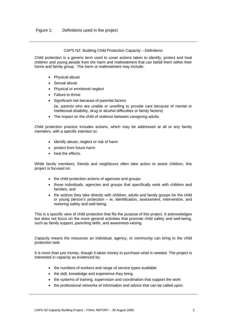#### CAPS NZ: Building Child Protection Capacity – Definitions

Child protection is a generic term used to cover actions taken to identify, protect and heal children and young people from the harm and maltreatment that can befall them within their home and family group. The harm or maltreatment may include:

- Physical abuse
- Sexual abuse
- Physical or emotional neglect
- Failure to thrive
- Significant risk because of parental factors (ie, parents who are unable or unwilling to provide care because of mental or intellectual disability, drug or alcohol difficulties or family factors)
- The impact on the child of violence between caregiving adults.

Child protection practice includes actions, which may be addressed at all or any family members, with a specific intention to:

- identify abuse, neglect or risk of harm
- protect from future harm
- heal the effects.

While family members, friends and neighbours often take action to assist children, this project is focused on:

- the child protection actions of agencies and groups
- those individuals, agencies and groups that specifically work with children and families, and
- the actions they take directly with children, adults and family groups for the child or young person's protection – ie, identification, assessment, intervention, and restoring safety and well-being.

This is a specific view of child protection that fits the purpose of this project. It acknowledges but does not focus on the more general activities that promote child safety and well-being, such as family support, parenting skills, and awareness-raising.

Capacity means the resources an individual, agency, or community can bring to the child protection task.

It is more than just money, though it takes money to purchase what is needed. The project is interested in capacity as evidenced by:

- the numbers of workers and range of service types available
- the skill, knowledge and experience they bring
- the systems of training, supervision and coordination that support the work
- the professional networks of information and advice that can be called upon.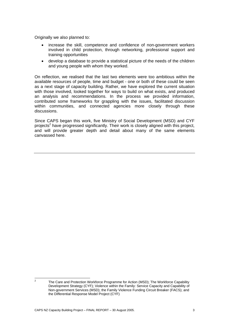Originally we also planned to:

- increase the skill, competence and confidence of non-government workers involved in child protection, through networking, professional support and training opportunities
- develop a database to provide a statistical picture of the needs of the children and young people with whom they worked.

On reflection, we realised that the last two elements were too ambitious within the available resources of people, time and budget - one or both of these could be seen as a next stage of capacity building. Rather, we have explored the current situation with those involved, looked together for ways to build on what exists, and produced an analysis and recommendations. In the process we provided information, contributed some frameworks for grappling with the issues, facilitated discussion within communities, and connected agencies more closely through these discussions.

Since CAPS began this work, five Ministry of Social Development (MSD) and CYF projects<sup>2</sup> have progressed significantly. Their work is closely aligned with this project, and will provide greater depth and detail about many of the same elements canvassed here.

 $\frac{1}{2}$ 

The Care and Protection Workforce Programme for Action (MSD); The Workforce Capability Development Strategy (CYF); Violence within the Family: Service Capacity and Capability of Non-government Services (MSD); the Family Violence Funding Circuit Breaker (FACS); and the Differential Response Model Project (CYF)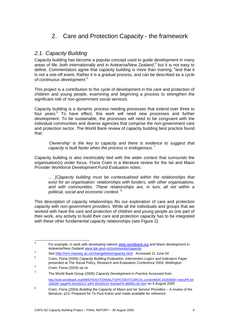# 2. Care and Protection Capacity - the framework

### *2.1. Capacity Building*

Capacity building has become a popular concept used to guide development in many areas of life, both internationally and in Aotearoa/New Zealand, $3$  but it is not easy to define. Commentators agree that capacity building is more than training, <sup>4</sup>and that it is not a one-off event. Rather it is a gradual process, and can be described as a *cycle of continuous development*. 5

This project is a contribution to the cycle of development in the care and protection of children and young people, examining and beginning a process to strengthen the significant role of non-government social services.

Capacity building is a dynamic process needing processes that extend over three to four years.<sup>6</sup> To have effect, this work will need new processes and further development. To be sustainable, the processes will need to be congruent with the individual communities and diverse agencies that comprise the non-government care and protection sector. The World Bank review of capacity building best practice found that:

*'Ownership' is the key to capacity and there is evidence to suggest that capacity is built faster when the process is endogenous.*<sup>7</sup>

Capacity building is also inextricably tied with the wider context that surrounds the organisation(s) under focus. Fiona Cram in a literature review for the Iwi and Maori Provider Workforce Development Fund Evaluation notes:

*… [C]apacity building must be contextualised within the relationships that exist for an organisation: relationships with funders, with other organisations, and with communities. These relationships are, in turn, all set within a political, social and economic context.* <sup>8</sup>

This description of capacity relationships fits our exploration of care and protection capacity with non-government providers. While all the individuals and groups that we worked with have the care and protection of children and young people as one part of their work, any activity to build their care and protection capacity has to be integrated with these other fundamental capacity relationships (see Figure 2).

http://web.worldbank.org/WBSITE/EXTERNAL/TOPICS/EXTCDRC/0,,contentMDK:20283658~menuPK:64 169185~pagePK:64169212~piPK:64169110~theSitePK:489952,00.html on 4 August 2005

<sup>-&</sup>lt;br>3 For example, in work with developing nations **www.worldbank.org** and Maori development in Aotearoa/New Zealand www.tpk.govt.nz/community/capacity

See http://nrm.massey.ac.nz/changelinks/capacity.html Accessed 21 June 04

Cram, Fiona (2004) *Capacity Building Evaluation: Intervention Logics and Indicators* Paper presented at The Social Policy, Research and Evaluation Conference 2004, Wellington

Cram, Fiona (2004) op cit

<sup>7</sup> The World Bank Group (2005) *Capacity Development in Practice* Accessed from

<sup>8</sup> Cram, Fiona (2004) *Building the Capacity of Maori and Iwi Service Providers – A review of the literature*, p13. Prepared for Te Puni Kokiiri and made available for reference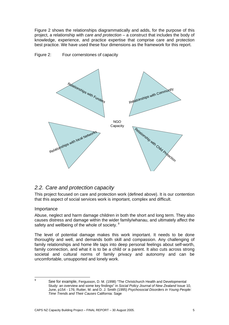Figure 2 shows the relationships diagrammatically and adds, for the purpose of this project, a relationship with *care and protection* – a construct that includes the body of knowledge, experience, and practice expertise that comprise care and protection best practice. We have used these four dimensions as the framework for this report.





## *2.2. Care and protection capacity*

This project focused on care and protection work (defined above). It is our contention that this aspect of social services work is important, complex and difficult.

#### Importance

Abuse, neglect and harm damage children in both the short and long term. They also causes distress and damage within the wider family/whanau, and ultimately affect the safety and wellbeing of the whole of society. 9

The level of potential damage makes this work important. It needs to be done thoroughly and well, and demands both skill and compassion. Any challenging of family relationships and home life taps into deep personal feelings about self-worth, family connection, and what it is to be a child or a parent. It also cuts across strong societal and cultural norms of family privacy and autonomy and can be uncomfortable, unsupported and lonely work.

 9

See for example, Fergusson, D. M. (1998) "The Christchurch Health and Developmental Study: an overview and some key findings" in *Social Policy Journal of New Zealand* Issue 10, June, p154 - 176; Rutter, M. and D. J. Smith (1995) *Psychosocial Disorders in Young People: Time Trends and Their Causes* California: Sage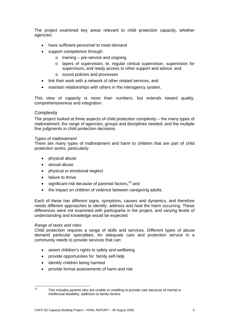The project examined key areas relevant to child protection capacity, whether agencies:

- have sufficient personnel to meet demand
- support competence through:
	- o training pre-service and ongoing
	- o layers of supervision, ie, regular clinical supervision, supervision for supervisors, and ready access to other support and advice, and
	- o sound policies and processes
- link their work with a network of other related services, and
- maintain relationships with others in the interagency system.

This view of capacity is more than numbers, but extends toward quality, comprehensiveness and integration.

#### **Complexity**

The project looked at three aspects of child protection complexity – the many types of maltreatment; the range of agencies, groups and disciplines needed; and the multiple fine judgments in child protection decisions.

#### *Types of maltreatment*

There are many types of maltreatment and harm to children that are part of child protection works, particularly:

- physical abuse
- sexual abuse
- physical or emotional neglect
- failure to thrive
- $\bullet$  significant risk because of parental factors.<sup>10</sup> and
- the impact on children of violence between caregiving adults.

Each of these has different signs, symptoms, causes and dynamics, and therefore needs different approaches to identify, address and heal the harm occurring. These differences were not examined with participants in the project, and varying levels of understanding and knowledge would be expected.

#### *Range of tasks and roles*

Child protection requires a range of skills and services. Different types of abuse demand particular specialties. An adequate care and protection service in a community needs to provide services that can:

- assert children's rights to safety and wellbeing
- provide opportunities for family self-help
- identify children being harmed
- provide formal assessments of harm and risk

 $10$ 

This includes parents who are unable or unwilling to provide care because of mental or intellectual disability, addiction or family factors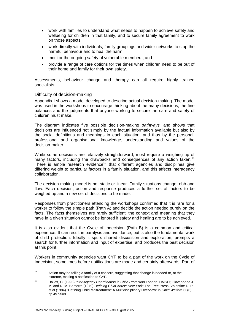- work with families to understand what needs to happen to achieve safety and wellbeing for children in that family, and to secure family agreement to work on those aspects
- work directly with individuals, family groupings and wider networks to stop the harmful behaviour and to heal the harm
- monitor the ongoing safety of vulnerable members, and
- provide a range of care options for the times when children need to be out of their home and family for their own safety.

Assessments, behaviour change and therapy can all require highly trained specialists.

#### Difficulty of decision-making

Appendix I shows a model developed to describe actual decision-making. The model was used in the workshops to encourage thinking about the many decisions, the fine balances and the judgments that anyone working to secure the care and safety of children must make.

The diagram indicates five possible decision-making *pathways,* and shows that decisions are influenced not simply by the factual information available but also by the social definitions and meanings in each situation, and thus by the personal, professional and organisational knowledge, understanding and values of the decision-maker.

While some decisions are relatively straightforward, most require a weighing up of many factors, including the drawbacks and consequences of any action taken.<sup>11</sup> There is ample research evidence<sup>12</sup> that different agencies and disciplines give differing weight to particular factors in a family situation, and this affects interagency collaboration.

The decision-making model is not static or linear. Family situations change, ebb and flow. Each decision, action and response produces a further set of factors to be weighed up and a new set of decisions to be made.

Responses from practitioners attending the workshops confirmed that it is rare for a worker to follow the simple path (Path A) and decide the action needed purely on the facts. The facts themselves are rarely sufficient; the context and meaning that they have in a given situation cannot be ignored if safety and healing are to be achieved.

It is also evident that the Cycle of Indecision (Path B) is a common and critical experience. It can result in paralysis and avoidance, but is also the fundamental work of child protection. Ideally it spurs shared discussion and exploration, prompts a search for further information and input of expertise, and produces the best decision at this point.

Workers in community agencies want CYF to be a part of the work on the Cycle of Indecision, sometimes before notifications are made and certainly afterwards. Part of

 $11$ Action may be telling a family of a concern, suggesting that change is needed or, at the extreme, making a notification to CYF.

extreme, making a notification to CYF. 12 Hallett, C. (1995) *Inter-Agency Coordination in Child Protection* London: HMSO; Giovannone J. M. and R. M. Bercerra (1979) *Defining Child Abuse* New York: The Free Press; Valentine D. P et al (1984) "Defining Child Maltreatment: A Multidisciplinary Overview" in *Child Welfare* 63(6) pp 497-509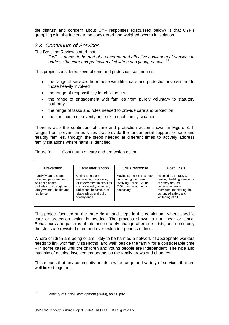the distrust and concern about CYF responses (discussed below) is that CYF's grappling with the factors to be considered and weighed occurs in isolation.

### *2.3. Continuum of Services*

The Baseline Review stated that

*CYF … needs to be part of a coherent and effective continuum of services to address the care and protection of children and young people.* <sup>13</sup>

This project considered several care and protection continuums:

- the range of services from those with little care and protection involvement to those heavily involved
- the range of responsibility for child safety
- the range of engagement with families from purely voluntary to statutory authority
- the range of tasks and roles needed to provide care and protection
- the continuum of severity and risk in each family situation

There is also the continuum of care and protection action shown in Figure 3. It ranges from prevention activities that provide the fundamental support for safe and healthy families, through the steps needed at different times to actively address family situations where harm is identified.

| Figure 3: | Continuum of care and protection action |  |  |  |
|-----------|-----------------------------------------|--|--|--|
|-----------|-----------------------------------------|--|--|--|

| Prevention                                                                                                                                 | Early intervention                                                                                                                                                                 | Crisis response                                                                                                           | <b>Post Crisis</b>                                                                                                                                                   |
|--------------------------------------------------------------------------------------------------------------------------------------------|------------------------------------------------------------------------------------------------------------------------------------------------------------------------------------|---------------------------------------------------------------------------------------------------------------------------|----------------------------------------------------------------------------------------------------------------------------------------------------------------------|
| Family/whanau support;<br>parenting programmes;<br>well-child health:<br>budgeting to strengthen<br>family/whanau health and<br>resilience | Stating a concern;<br>encouraging or pressing<br>for involvement in services<br>to change risky attitudes,<br>addictions, behaviour, or<br>relationships and build<br>healthy ones | Moving someone to safety;<br>confronting the harm;<br>involving Police, Courts,<br>CYF or other authority if<br>necessary | Resolution, therapy &<br>healing; building a network<br>of safety around<br>vulnerable family<br>members; monitoring the<br>continued safety and<br>wellbeing of all |

This project focused on the three right-hand steps in this continuum, where specific care or protection action is needed. The process shown is not linear or static. Behaviours and patterns of interaction rarely change after one crisis, and commonly the steps are revisited often and over extended periods of time.

Where children are being or are likely to be harmed a network of appropriate workers needs to link with family strengths, and walk beside the family for a considerable time – in some cases until the children and young people are independent. The type and intensity of outside involvement adapts as the family grows and changes.

This means that any community needs a wide range and variety of services that are well linked together.

 $13$ 

Ministry of Social Development (2003), op cit, p92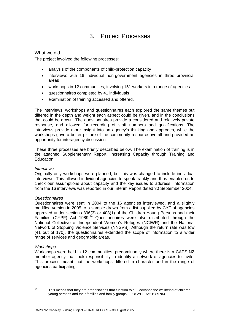# 3. Project Processes

#### What we did

The project involved the following processes:

- analysis of the components of child-protection capacity
- interviews with 16 individual non-government agencies in three provincial areas
- workshops in 12 communities, involving 151 workers in a range of agencies
- questionnaires completed by 41 individuals
- examination of training accessed and offered.

The interviews, workshops and questionnaires each explored the same themes but differed in the depth and weight each aspect could be given, and in the conclusions that could be drawn. The questionnaires provide a considered and relatively private response, and allowed for recording of staff numbers and qualifications. The interviews provide more insight into an agency's thinking and approach, while the workshops gave a better picture of the community resource overall and provided an opportunity for interagency discussion.

These three processes are briefly described below. The examination of training is in the attached Supplementary Report: Increasing Capacity through Training and Education.

#### *Interviews*

Originally only workshops were planned, but this was changed to include individual interviews. This allowed individual agencies to speak frankly and thus enabled us to check our assumptions about capacity and the key issues to address. Information from the 16 interviews was reported in our Interim Report dated 30 September 2004.

#### *Questionnaires*

Questionnaires were sent in 2004 to the 16 agencies interviewed, and a slightly modified version in 2005 to a sample drawn from a list supplied by CYF of agencies approved under sections 396(3) or 403(1) of the Children Young Persons and their Families (CYPF) Act 1989.<sup>14</sup> Questionnaires were also distributed through the National Collective of Independent Women's Refuges (NCIWR) and the National Network of Stopping Violence Services (NNSVS). Although the return rate was low (41 out of 170), the questionnaires extended the scope of information to a wider range of services and geographic areas.

#### *Workshops*

Workshops were held in 12 communities, predominantly where there is a CAPS NZ member agency that took responsibility to identify a network of agencies to invite. This process meant that the workshops differed in character and in the range of agencies participating.

 $14$ 

This means that they are organisations that function to " ... advance the wellbeing of children, young persons and their families and family groups … " (CYPF Act 1989 s4)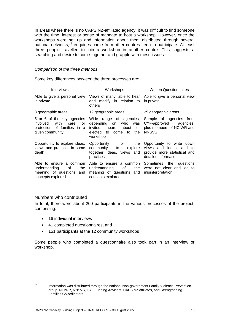In areas where there is no CAPS NZ-affiliated agency, it was difficult to find someone with the time, interest or sense of mandate to host a workshop. However, once the workshops were set up and information about them distributed through several national networks,<sup>15</sup> enquiries came from other centres keen to participate. At least three people travelled to join a workshop in another centre. This suggests a searching and desire to come together and grapple with these issues.

#### *Comparison of the three methods*

Some key differences between the three processes are:

| Interviews                                                                                                     | Workshops                                                                                                                                            | <b>Written Questionnaires</b>                                                |  |
|----------------------------------------------------------------------------------------------------------------|------------------------------------------------------------------------------------------------------------------------------------------------------|------------------------------------------------------------------------------|--|
| Able to give a personal view<br>in private                                                                     | Views of many; able to hear Able to give a personal view<br>and modify in relation to<br>others                                                      | in private                                                                   |  |
| 3 geographic areas                                                                                             | 12 geographic areas                                                                                                                                  | 25 geographic areas                                                          |  |
| 5 or 6 of the key agencies<br>with<br>involved<br>care<br>or<br>protection of families in a<br>given community | Wide range of agencies, Sample of agencies from<br>depending on who was<br>invited, heard about<br>or<br>elected<br>to<br>the<br>to come<br>workshop | CYF-approved agencies,<br>plus members of NCIWR and<br><b>NNSVS</b>          |  |
| Opportunity to explore ideas,<br>views and practices in some<br>depth                                          | Opportunity for the<br>community<br>explore<br>to to<br>together ideas, views and provide more statistical and<br>practices                          | Opportunity to write down<br>views and ideas, and to<br>detailed information |  |
| Able to ensure a common<br>understanding of<br>the<br>meaning of questions and<br>concepts explored            | Able to ensure a common Sometimes the questions<br>understanding of<br>meaning of questions and<br>concepts explored                                 | the were not clear and led to<br>misinterpretation                           |  |

#### Numbers who contributed

In total, there were about 200 participants in the various processes of the project, comprising:

- 16 individual interviews
- 41 completed questionnaires, and
- 151 participants at the 12 community workshops

Some people who completed a questionnaire also took part in an interview or workshop.

 $15$ 15 Information was distributed through the national Non-government Family Violence Prevention group, NCIWR, NNSVS, CYF Funding Advisors, CAPS NZ affiliates, and Strengthening Families Co-ordinators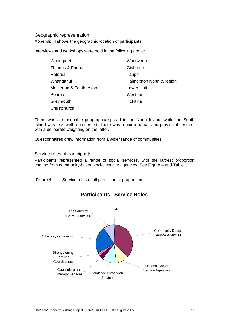#### Geographic representation

Appendix II shows the geographic location of participants.

Interviews and workshops were held in the following areas:

| Whangarei                          | Warkworth                 |
|------------------------------------|---------------------------|
| Thames & Paeroa                    | Gisborne                  |
| Rotorua                            | Taupo                     |
| Whanganui                          | Palmerston North & region |
| <b>Masterton &amp; Featherston</b> | Lower Hutt                |
| Porirua                            | Westport                  |
| Greymouth                          | Hokitika                  |
| Christchurch                       |                           |

There was a reasonable geographic spread in the North Island, while the South Island was less well represented. There was a mix of urban and provincial centres, with a deliberate weighting on the latter.

Questionnaires drew information from a wider range of communities.

Service roles of participants

Participants represented a range of social services, with the largest proportion coming from community-based social service agencies. See Figure 4 and Table 1.

Figure 4: Service roles of all participants: proportions

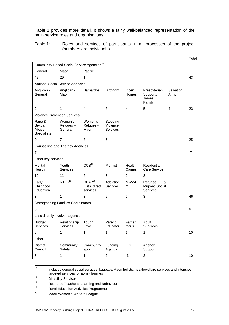Table 1 provides more detail. It shows a fairly well-balanced representation of the main service roles and organisations.

Table 1: Roles and services of participants in all processes of the project (numbers are individuals)

|                                          |                                                       |                                                 |                                  |                      |                                                   |                   | Total |
|------------------------------------------|-------------------------------------------------------|-------------------------------------------------|----------------------------------|----------------------|---------------------------------------------------|-------------------|-------|
|                                          | Community-Based Social Service Agencies <sup>16</sup> |                                                 |                                  |                      |                                                   |                   |       |
| General                                  | Maori                                                 | Pacific                                         |                                  |                      |                                                   |                   |       |
| 42                                       | 29                                                    | 1                                               |                                  |                      |                                                   |                   | 43    |
|                                          | National Social Service Agencies                      |                                                 |                                  |                      |                                                   |                   |       |
| Anglican -<br>General                    | Anglican -<br>Maori                                   | <b>Barnardos</b>                                | <b>Birthright</b>                | Open<br><b>Homes</b> | Presbyterian<br>Support /<br>James<br>Family      | Salvation<br>Army |       |
| $\overline{c}$                           | 1                                                     | 4                                               | 3                                | 4                    | 5                                                 | 4                 | 23    |
|                                          | <b>Violence Prevention Services</b>                   |                                                 |                                  |                      |                                                   |                   |       |
| Rape &<br>Sexual<br>Abuse<br>Specialists | Women's<br>$Refuges -$<br>General                     | Women's<br>Refuges -<br>Maori                   | Stopping<br>Violence<br>Services |                      |                                                   |                   |       |
| 9                                        | $\overline{7}$                                        | 3                                               | 6                                |                      |                                                   |                   | 25    |
|                                          | <b>Counselling and Therapy Agencies</b>               |                                                 |                                  |                      |                                                   |                   |       |
| $\overline{7}$                           |                                                       |                                                 |                                  |                      |                                                   |                   | 7     |
| Other key services                       |                                                       |                                                 |                                  |                      |                                                   |                   |       |
| Mental<br>Health                         | Youth<br>Services                                     | CCS <sup>17</sup>                               | Plunket                          | Health<br>Camps      | Residential<br>Care Service                       |                   |       |
| 10                                       | 11                                                    | 5                                               | 3                                | 2                    | $\ensuremath{\mathsf{3}}$                         |                   |       |
| Early<br>Childhood<br>Education          | RTLB <sup>18</sup>                                    | REAP <sup>19</sup><br>(with direct<br>services) | Addiction<br><b>Services</b>     | <b>MWWL</b><br>20    | &<br>Refugee<br>Migrant Social<br><b>Services</b> |                   |       |
| 3                                        | 1                                                     | 3                                               | $\overline{2}$                   | $\overline{2}$       | 3                                                 |                   | 46    |
|                                          | <b>Strengthening Families Coordinators</b>            |                                                 |                                  |                      |                                                   |                   |       |
| 6                                        |                                                       |                                                 |                                  |                      |                                                   |                   | $\,6$ |
|                                          | Less directly involved agencies                       |                                                 |                                  |                      |                                                   |                   |       |
| <b>Budget</b><br>Services                | Relationship<br>Services                              | Tough<br>Love                                   | Parent<br>Educator               | Father<br>focus      | Adult<br>Survivors                                |                   |       |
| 3                                        | 1                                                     | 1                                               | 1                                | 1                    | 1                                                 |                   | 10    |
| Other                                    |                                                       |                                                 |                                  |                      |                                                   |                   |       |
| <b>District</b><br>Council               | Community<br>Safety                                   | Community<br>sport                              | Funding<br>Agency                | <b>CYF</b>           | Agency<br>Support                                 |                   |       |
| 3                                        | 1                                                     | 1                                               | 2                                | 1                    | 2                                                 |                   | 10    |

 $\frac{16}{16}$ 16 Includes general social services, kaupapa Maori holistic health/welfare services and intensive targeted services for at-risk families<br><sup>17</sup> Disability Services

<sup>18</sup> Resource Teachers: Learning and Behaviour<br>19 Russi Education Activities Presences

<sup>&</sup>lt;sup>19</sup> Rural Education Activities Programme<br><sup>20</sup> Meeri Wemen's Welfare League

Maori Women's Welfare League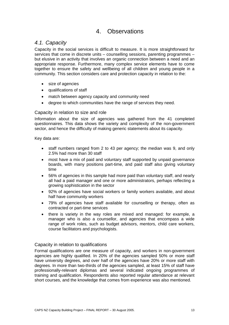# 4. Observations

### *4.1. Capacity*

Capacity in the social services is difficult to measure. It is more straightforward for services that come in discrete units – counselling sessions, parenting programmes – but elusive in an activity that involves an organic connection between a need and an appropriate response. Furthermore, many complex service elements have to come together to ensure the safety and wellbeing of all children and young people in a community. This section considers care and protection capacity in relation to the:

- size of agencies
- qualifications of staff
- match between agency capacity and community need
- degree to which communities have the range of services they need.

#### Capacity in relation to size and role

Information about the size of agencies was gathered from the 41 completed questionnaires. This data shows the variety and complexity of the non-government sector, and hence the difficulty of making generic statements about its capacity.

Key data are:

- staff numbers ranged from 2 to 43 per agency; the median was 9, and only 2.5% had more than 30 staff
- most have a mix of paid and voluntary staff supported by unpaid governance boards, with many positions part-time, and paid staff also giving voluntary time
- 56% of agencies in this sample had more paid than voluntary staff, and nearly all had a paid manager and one or more administrators, perhaps reflecting a growing sophistication in the sector
- 92% of agencies have social workers or family workers available, and about half have community workers
- 79% of agencies have staff available for counselling or therapy, often as contracted or part-time services
- there is variety in the way roles are mixed and managed: for example, a manager who is also a counsellor, and agencies that encompass a wide range of work roles, such as budget advisors, mentors, child care workers, course facilitators and psychologists.

#### Capacity in relation to qualifications

Formal qualifications are one measure of capacity, and workers in non-government agencies are highly qualified. In 20% of the agencies sampled 50% or more staff have university degrees, and over half of the agencies have 20% or more staff with degrees. In more than two-thirds of the agencies sampled, at least 15% of staff have professionally-relevant diplomas and several indicated ongoing programmes of training and qualification. Respondents also reported regular attendance at relevant short courses, and the knowledge that comes from experience was also mentioned.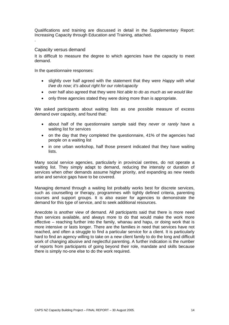Qualifications and training are discussed in detail in the Supplementary Report: Increasing Capacity through Education and Training, attached.

#### Capacity versus demand

.

It is difficult to measure the degree to which agencies have the capacity to meet demand.

In the questionnaire responses:

- slightly over half agreed with the statement that they were *Happy with what I/we do now; it's about right for our role/capacity*
- over half also agreed that they were *Not able to do as much as we would like*
- only three agencies stated they were doing more than is appropriate.

We asked participants about waiting lists as one possible measure of excess demand over capacity, and found that:

- about half of the questionnaire sample said they *never* or *rarely* have a waiting list for services
- on the day that they completed the questionnaire, 41% of the agencies had people on a waiting list
- in one urban workshop, half those present indicated that they have waiting lists.

Many social service agencies, particularly in provincial centres, do not operate a waiting list. They simply adapt to demand, reducing the intensity or duration of services when other demands assume higher priority, and expanding as new needs arise and service gaps have to be covered.

Managing demand through a waiting list probably works best for discrete services, such as counselling or therapy, programmes with tightly defined criteria, parenting courses and support groups. It is also easier for agencies to demonstrate the demand for this type of service, and to seek additional resources.

Anecdote is another view of demand. All participants said that there is more need than services available, and always more to do that would make the work more effective – reaching further into the family, whanau and hapu, or doing work that is more intensive or lasts longer. There are the families in need that services have not reached, and often a struggle to find a particular service for a client. It is particularly hard to find an agency willing to take on a new client family to do the long and difficult work of changing abusive and neglectful parenting. A further indication is the number of reports from participants of going beyond their role, mandate and skills because there is simply no-one else to do the work required.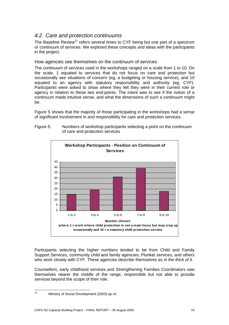# *4.2. Care and protection continuums*

The Baseline Review<sup>21</sup> refers several times to CYF being but one part of a spectrum or continuum of services. We explored these concepts and ideas with the participants in the project.

#### How agencies see themselves on the continuum of services

The continuum of services used in the workshops ranged on a scale from 1 to 10. On the scale, 1 equated to services that do not focus on care and protection but occasionally see situations of concern (eg, a budgeting or housing service), and 10 equated to an agency with statutory responsibility and authority (eg, CYF). Participants were asked to show where they felt they were in their current role or agency in relation to these two end-points. The intent was to see if the notion of a continuum made intuitive sense, and what the dimensions of such a continuum might be.

Figure 5 shows that the majority of those participating in the workshops had a sense of significant involvement in and responsibility for care and protection services.

Figure 5: Numbers of workshop participants selecting a point on the continuum of care and protection services



Participants selecting the higher numbers tended to be from Child and Family Support Services, community child and family agencies, Plunket services, and others who work closely with CYF. These agencies describe themselves as *in the thick of it.* 

Counsellors, early childhood services and Strengthening Families Coordinators saw themselves nearer the middle of the range, responsible but not able to provide services beyond the scope of their role.

 $21$ Ministry of Social Development (2003) op cit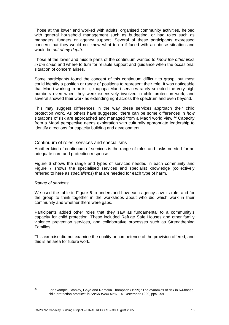Those at the lower end worked with adults, organised community activities, helped with general household management such as budgeting, or had roles such as managers, funders or agency support. Several of these participants expressed concern that they would not know what to do if faced with an abuse situation and would be *out of my depth*.

Those at the lower and middle parts of the continuum wanted to *know the other links in the chain* and where to turn for reliable support and guidance when the occasional situation of concern arises.

Some participants found the concept of this continuum difficult to grasp, but most could identify a position or range of positions to represent their role. It was noticeable that Maori working in holistic, kaupapa Maori services rarely selected the very high numbers even when they were extensively involved in child protection work, and several showed their work as extending right across the spectrum and even beyond.

This may suggest differences in the way these services approach their child protection work. As others have suggested, there can be some differences in *how*  situations of risk are approached and managed from a Maori world view. $^{22}$  Capacity from a Maori perspective needs exploration with culturally appropriate leadership to identify directions for capacity building and development.

#### Continuum of roles, services and specialisms

Another kind of continuum of services is the range of roles and tasks needed for an adequate care and protection response.

Figure 6 shows the range and types of services needed in each community and Figure 7 shows the specialised services and specialist knowledge (collectively referred to here as *specialisms*) that are needed for each type of harm.

#### *Range of services*

We used the table in Figure 6 to understand how each agency saw its role, and for the group to think together in the workshops about who did which work in their community and whether there were gaps.

Participants added other roles that they saw as fundamental to a community's capacity for child protection. These included Refuge Safe Houses and other family violence prevention services, and collaborative processes such as Strengthening Families.

This exercise did not examine the quality or competence of the provision offered, and this is an area for future work.

 $22$ 

<sup>22</sup> For example, Stanley, Gaye and Rameka Thompson (1999) "The dynamics of risk in iwi-based child protection practice" in *Social Work Now,* 14, December 1999, pp51-59.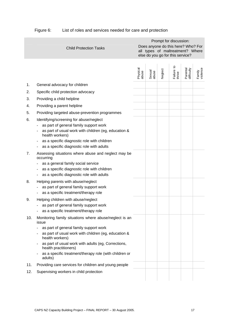|     |                                                                              |                   |                 |         | Prompt for discussion:                                                                                     |                        |                    |
|-----|------------------------------------------------------------------------------|-------------------|-----------------|---------|------------------------------------------------------------------------------------------------------------|------------------------|--------------------|
|     | <b>Child Protection Tasks</b>                                                |                   |                 |         | Does anyone do this here? Who? For<br>all types of maltreatment? Where<br>else do you go for this service? |                        |                    |
|     |                                                                              | Physical<br>abuse | Sexual<br>abuse | Neglect | Failure to<br>thrive                                                                                       | Parental<br>difficulty | Family<br>violence |
| 1.  | General advocacy for children                                                |                   |                 |         |                                                                                                            |                        |                    |
| 2.  | Specific child protection advocacy                                           |                   |                 |         |                                                                                                            |                        |                    |
| 3.  | Providing a child helpline                                                   |                   |                 |         |                                                                                                            |                        |                    |
| 4.  | Providing a parent helpline                                                  |                   |                 |         |                                                                                                            |                        |                    |
| 5.  | Providing targeted abuse-prevention programmes                               |                   |                 |         |                                                                                                            |                        |                    |
| 6.  | Identifying/screening for abuse/neglect                                      |                   |                 |         |                                                                                                            |                        |                    |
|     | as part of general family support work                                       |                   |                 |         |                                                                                                            |                        |                    |
|     | as part of usual work with children (eg, education &<br>health workers)      |                   |                 |         |                                                                                                            |                        |                    |
|     | as a specific diagnostic role with children                                  |                   |                 |         |                                                                                                            |                        |                    |
|     | as a specific diagnostic role with adults                                    |                   |                 |         |                                                                                                            |                        |                    |
| 7.  | Assessing situations where abuse and neglect may be<br>occurring             |                   |                 |         |                                                                                                            |                        |                    |
|     | as a general family social service                                           |                   |                 |         |                                                                                                            |                        |                    |
|     | as a specific diagnostic role with children                                  |                   |                 |         |                                                                                                            |                        |                    |
|     | as a specific diagnostic role with adults                                    |                   |                 |         |                                                                                                            |                        |                    |
| 8.  | Helping parents with abuse/neglect<br>as part of general family support work |                   |                 |         |                                                                                                            |                        |                    |
|     | as a specific treatment/therapy role                                         |                   |                 |         |                                                                                                            |                        |                    |
| 9.  | Helping children with abuse/neglect                                          |                   |                 |         |                                                                                                            |                        |                    |
|     | as part of general family support work                                       |                   |                 |         |                                                                                                            |                        |                    |
|     | as a specific treatment/therapy role                                         |                   |                 |         |                                                                                                            |                        |                    |
| 10. | Monitoring family situations where abuse/neglect is an<br>issue              |                   |                 |         |                                                                                                            |                        |                    |
|     | as part of general family support work                                       |                   |                 |         |                                                                                                            |                        |                    |
|     | as part of usual work with children (eg, education &<br>health workers)      |                   |                 |         |                                                                                                            |                        |                    |
|     | as part of usual work with adults (eg, Corrections,<br>health practitioners) |                   |                 |         |                                                                                                            |                        |                    |
|     | as a specific treatment/therapy role (with children or<br>adults)            |                   |                 |         |                                                                                                            |                        |                    |
| 11. | Providing care services for children and young people                        |                   |                 |         |                                                                                                            |                        |                    |
| 12. | Supervising workers in child protection                                      |                   |                 |         |                                                                                                            |                        |                    |
|     |                                                                              |                   |                 |         |                                                                                                            |                        |                    |

# Figure 6: List of roles and services needed for care and protection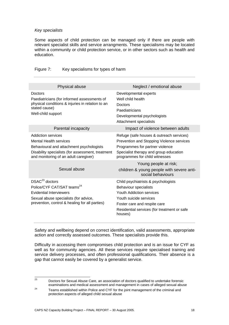#### *Key specialists*

Some aspects of child protection can be managed only if there are people with relevant specialist skills and service arrangments. These specialisms may be located within a community or child protection service, or in other sectors such as health and education.

| Physical abuse                                                                                                                                                                                | Neglect / emotional abuse                                                                                                                                                                                                  |
|-----------------------------------------------------------------------------------------------------------------------------------------------------------------------------------------------|----------------------------------------------------------------------------------------------------------------------------------------------------------------------------------------------------------------------------|
| Doctors<br>Paediatricians (for informed assessments of<br>physical conditions & injuries in relation to an<br>stated cause)<br>Well-child support                                             | Developmental experts<br>Well child health<br>Doctors<br>Paediatricians<br>Developmental psychologists<br>Attachment specialists                                                                                           |
| Parental incapacity                                                                                                                                                                           | Impact of violence between adults                                                                                                                                                                                          |
| Addiction services<br><b>Mental Health services</b><br>Behavioural and attachment psychologists<br>Disability specialists (for assessment, treatment<br>and monitoring of an adult caregiver) | Refuge (safe houses & outreach services)<br>Prevention and Stopping Violence services<br>Programmes for partner violence<br>Specialist therapy and group education<br>programmes for child witnesses                       |
|                                                                                                                                                                                               | Young people at risk;                                                                                                                                                                                                      |
| Sexual abuse                                                                                                                                                                                  | children & young people with severe anti-<br>social behaviours                                                                                                                                                             |
| $DSAC23$ doctors<br>Police/CYF CAT/SAT teams <sup>24</sup><br>Evidential Interviewers<br>Sexual abuse specialists (for advice,<br>prevention, control & healing for all parties)              | Child psychiatrists & psychologists<br><b>Behaviour specialists</b><br><b>Youth Addiction services</b><br>Youth suicide services<br>Foster care and respite care<br>Residential services (for treatment or safe<br>houses) |

#### Figure 7: Key specialisms for types of harm

Safety and wellbeing depend on correct identification, valid assessments, appropriate action and correctly assessed outcomes. These specialists provide this.

Difficulty in accessing them compromises child protection and is an issue for CYF as well as for community agencies. All these services require specialised training and service delivery processes, and often professional qualifications. Their absence is a gap that cannot easily be covered by a generalist service.

<sup>23</sup> Doctors for Sexual Abuse Care, an association of doctors qualified to undertake forensic<br>examinations and medical assessment and management in cases of alleged sexual abuse

 $\frac{24}{100}$  Teams established within Police and CYF for the joint management of the criminal and protection aspects of alleged child sexual abuse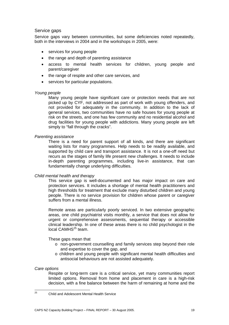#### Service gaps

Service gaps vary between communities, but some deficiencies noted repeatedly, both in the interviews in 2004 and in the workshops in 2005, were:

- services for young people
- the range and depth of parenting assistance
- access to mental health services for children, young people and parent/caregiver
- the range of respite and other care services, and
- services for particular populations.

#### *Young people*

Many young people have significant care or protection needs that are not picked up by CYF, not addressed as part of work with young offenders, and not provided for adequately in the community. In addition to the lack of general services, two communities have no safe houses for young people at risk on the streets, and one has few community and no residential alcohol and drug facilities for young people with addictions. Many young people are left simply to "fall through the cracks".

#### *Parenting assistance*

There is a need for parent support of all kinds, and there are significant waiting lists for many programmes. Help needs to be readily available, and supported by child care and transport assistance. It is not a one-off need but recurs as the stages of family life present new challenges. It needs to include in-depth parenting programmes, including live-in assistance, that can fundamentally change underlying difficulties.

#### *Child mental health and therapy*

This service gap is well-documented and has major impact on care and protection services. It includes a shortage of mental health practitioners and high thresholds for treatment that exclude many disturbed children and young people. There is no service provision for children whose parent or caregiver suffers from a mental illness.

Remote areas are particularly poorly serviced. In two extensive geographic areas, one child psychiatrist visits monthly, a service that does not allow for urgent or comprehensive assessments, sequential therapy or accessible clinical leadership. In one of these areas there is no child psychologist in the local CAMHS<sup>25</sup> team.

These gaps mean that

- o non-government counselling and family services step beyond their role and expertise to cover the gap, and
- o children and young people with significant mental health difficulties and antisocial behaviours are not assisted adequately.

#### *Care options*

Respite or long-term care is a critical service, yet many communities report limited options. Removal from home and placement in care is a high-risk decision, with a fine balance between the harm of remaining at home and the

 $25$ 25 Child and Adolescent Mental Health Service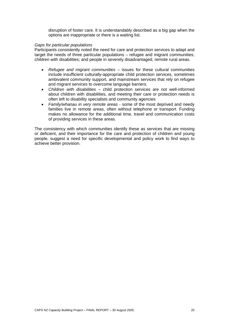disruption of foster care. It is understandably described as a big gap when the options are inappropriate or there is a waiting list.

#### *Gaps for particular populations*

Participants consistently noted the need for care and protection services to adapt and target the needs of three particular populations – refugee and migrant communities; children with disabilities; and people in severely disadvantaged, remote rural areas.

- *Refugee and migrant communities* issues for these cultural communities include insufficient culturally-appropriate child protection services, sometimes ambivalent community support, and mainstream services that rely on refugee and migrant services to overcome language barriers.
- *Children with disabilities*  child protection services are not well-informed about children with disabilities, and meeting their care or protection needs is often left to disability specialists and community agencies
- *Family/whanau in very remote areas*  some of the most deprived and needy families live in remote areas, often without telephone or transport. Funding makes no allowance for the additional time, travel and communication costs of providing services in these areas.

The consistency with which communities identify these as services that are missing or deficient, and their importance for the care and protection of children and young people, suggest a need for specific developmental and policy work to find ways to achieve better provision.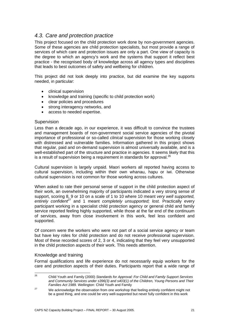## *4.3. Care and protection practice*

This project focused on the child protection work done by non-government agencies. Some of these agencies are child protection specialists, but most provide a range of services of which care and protection issues are only a part. One view of capacity is the degree to which an agency's work and the systems that support it reflect best practice - the recognised body of knowledge across all agency types and disciplines that leads to best outcomes of safety and wellbeing for children.

This project did not look deeply into practice, but did examine the key supports needed, in particular:

- clinical supervision
- knowledge and training (specific to child protection work)
- clear policies and procedures
- strong interagency networks, and
- access to needed expertise.

#### **Supervision**

Less than a decade ago, in our experience, it was difficult to convince the trustees and management boards of non-government social service agencies of the pivotal importance of professional or so-called *clinical* supervision for those working closely with distressed and vulnerable families. Information gathered in this project shows that regular, paid and on-demand supervision is almost universally available, and is a well-established part of the structure and practice in agencies. It seems likely that this is a result of supervision being a requirement in standards for approval. $^{26}$ 

Cultural supervision is largely unpaid. Maori workers all reported having access to cultural supervision, including within their own whanau, hapu or iwi. Otherwise cultural supervision is not common for those working across cultures.

When asked to rate their personal sense of support in the child protection aspect of their work, an overwhelming majority of participants indicated a very strong sense of support, scoring 8, 9 or 10 on a scale of 1 to 10 where 10 meant *very well supported,*  entirely confident<sup>27</sup> and 1 meant completely unsupported; lost. Practically every participant working in a specialist child protection agency or general child and family service reported feeling highly supported, while those at the far end of the continuum of services, away from close involvement in this work, feel less confident and supported.

Of concern were the workers who were not part of a social service agency or team but have key roles for child protection and do not receive professional supervision. Most of these recorded scores of 2, 3 or 4, indicating that they feel very unsupported in the child protection aspects of their work. This needs attention.

#### Knowledge and training

Formal qualifications and life experience do not necessarily equip workers for the care and protection aspects of their duties. Participants report that a wide range of

 $26$ 26 Child Youth and Family (2000) *Standards for Approval: For Child and Family Support Services and Community Services under s396(3) and s403(1) of the Children, Young Persons and Their* 

<sup>&</sup>lt;sup>27</sup> We acknowledge the observation from one workshop that feeling entirely confident might not be a good thing, and one could be very well-supported but never fully confident in this work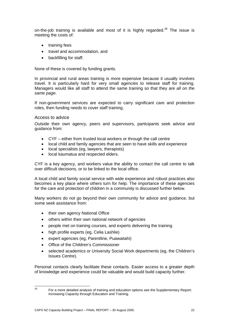on-the-job training is available and most of it is highly regarded.<sup>28</sup> The issue is meeting the costs of:

- training fees
- travel and accommodation, and
- backfilling for staff.

None of these is covered by funding grants.

In provincial and rural areas training is more expensive because it usually involves travel. It is particularly hard for very small agencies to release staff for training. Managers would like all staff to attend the same training so that they are *all on the same page*.

If non-government services are expected to carry significant care and protection roles, then funding needs to cover staff training.

#### Access to advice

Outside their own agency, peers and supervisors, participants seek advice and guidance from:

- CYF either from trusted local workers or through the call centre
- local child and family agencies that are seen to have skills and experience
- local specialists (eg, lawyers, therapists)
- local kaumatua and respected elders.

CYF is a key agency, and workers value the ability to contact the call centre to talk over difficult decisions, or to be linked to the local office.

A local child and family social service with wide experience and robust practices also becomes a key place where others turn for help. The importance of these agencies for the care and protection of children in a community is discussed further below.

Many workers do not go beyond their own community for advice and guidance, but some seek assistance from:

- their own agency National Office
- others within their own national network of agencies
- people met on training courses, and experts delivering the training
- high profile experts (eg, Celia Lashlie)
- expert agencies (eg, Parentline, Puawaitahi)
- Office of the Children's Commissioner
- selected academics or University Social Work departments (eg, the Children's Issues Centre).

Personal contacts clearly facilitate these contacts. Easier access to a greater depth of knowledge and experience could be valuable and would build capacity further.

 $28$ 

<sup>28</sup> For a more detailed analysis of training and education options see the Supplementary Report: Increasing Capacity through Education and Training.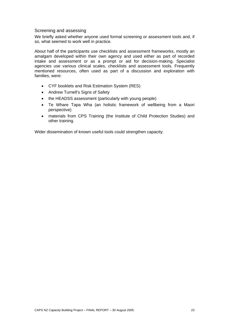#### Screening and assessing

We briefly asked whether anyone used formal screening or assessment tools and, if so, what seemed to work well in practice.

About half of the participants use checklists and assessment frameworks, mostly an amalgam developed within their own agency and used either as part of recorded intake and assessment or as a prompt or aid for decision-making. Specialist agencies use various clinical scales, checklists and assessment tools. Frequently mentioned resources, often used as part of a discussion and exploration with families, were:

- CYF booklets and Risk Estimation System (RES)
- Andrew Turnell's Signs of Safety
- the HEADSS assessment (particularly with young people)
- Te Whare Tapa Wha (an holistic framework of wellbeing from a Maori perspective)
- materials from CPS Training (the Institute of Child Protection Studies) and other training.

Wider dissemination of known useful tools could strengthen capacity.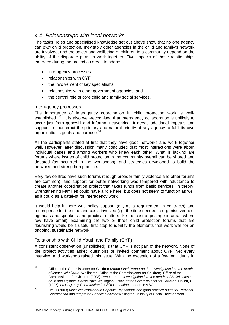### *4.4. Relationships with local networks*

The tasks, roles and specialised knowledge set out above show that no one agency can *own* child protection. Inevitably other agencies in the child and family's network are involved, and the safety and wellbeing of children in a community depend on the ability of the disparate parts to work together. Five aspects of these relationships emerged during the project as areas to address:

- interagency processes
- relationships with CYF
- the involvement of key specialisms
- relationships with other government agencies, and
- the central role of core child and family social services.

#### Interagency processes

The importance of interagency coordination in child protection work is wellestablished.<sup>29</sup> It is also well-recognised that interagency collaboration is unlikely to occur just from goodwill and informal networking. It needs additional impetus and support to counteract the primary and natural priority of any agency to fulfil its own organisation's goals and purpose.<sup>30</sup>

All the participants stated at first that they have good networks and work together well. However, after discussion many concluded that most interactions were about individual cases and among workers who knew each other. What is lacking are forums where issues of child protection in the community overall can be shared and debated (as occurred in the workshops), and strategies developed to build the networks and strengthen practice.

Very few centres have such forums (though broader family violence and other forums are common), and support for better networking was tempered with reluctance to create another coordination project that takes funds from basic services. In theory, Strengthening Families could have a role here, but does not seem to function as well as it could as a catalyst for interagency work.

It would help if there was policy support (eg, as a requirement in contracts) and recompense for the time and costs involved (eg, the time needed to organise venues, agendas and speakers and practical matters like the cost of postage in areas where few have email). Examining the two or three child protection forums that are flourishing would be a useful first step to identify the elements that work well for an ongoing, sustainable network.

#### Relationship with Child Youth and Family (CYF)

A consistent observation (unsolicited) is that CYF is not part of the network. None of the project activities asked questions or invited comment about CYF, yet every interview and workshop raised this issue. With the exception of a few individuals in

 $29$ 29 Office of the Commissioner for Children (2000) *Final Report on the Investigation into the death of James Whakaruru* Wellington: Office of the Commissioner for Children; Office of the Commissioner for Children (2003) *Report on the Investigation into the deaths of Saliel Jalessa Aplin and Olympia Marisa Aplin* Wellington: Office of the Commissioner for Children; Hallett, C

<sup>&</sup>lt;sup>30</sup> IMSD (2003) *Mosaics: Whakaahua Papariki Key findings and good practice guide for Regional MSD (2003) <i>Mosaics: Whakaahua Papariki Key findings and good practice guide for Regional Coordination and Integrated Service Delivery* Wellington: Ministry of Social Development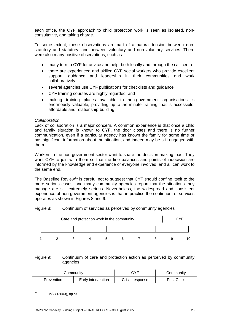each office, the CYF approach to child protection work is seen as isolated, nonconsultative, and taking charge.

To some extent, these observations are part of a natural tension between nonstatutory and statutory, and between voluntary and non-voluntary services. There were also many positive observations, such as:

- many turn to CYF for advice and help, both locally and through the call centre
- there are experienced and skilled CYF social workers who provide excellent support, guidance and leadership in their communities and work collaboratively
- several agencies use CYF publications for checklists and guidance
- CYF training courses are highly regarded, and
- making training places available to non-government organisations is enormously valuable, providing up-to-the-minute training that is accessible, affordable and relationship-building.

#### *Collaboration*

Lack of collaboration is a major concern. A common experience is that once a child and family situation is known to CYF, the door closes and there is no further communication, even if a particular agency has known the family for some time or has significant information about the situation, and indeed may be still engaged with them.

Workers in the non-government sector want to share the decision-making load. They want CYF to join with them so that the fine balances and points of indecision are informed by the knowledge and experience of everyone involved, and all can work to the same end.

The Baseline Review<sup>31</sup> is careful not to suggest that CYF should confine itself to the more serious cases, and many community agencies report that the situations they manage are still extremely serious. Nevertheless, the widespread and consistent experience of non-government agencies is that in practice the continuum of services operates as shown in Figures 8 and 9.

#### Figure 8: Continuum of services as perceived by community agencies



#### Figure 9: Continuum of care and protection action as perceived by community agencies

| Community  |                    | C.YF            | Community          |
|------------|--------------------|-----------------|--------------------|
| Prevention | Early intervention | Crisis response | <b>Post Crisis</b> |

 $31$ MSD (2003), op cit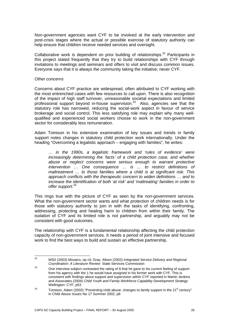Non-government agencies want CYF to be involved at the early intervention and post-crisis stages where the actual or possible exercise of statutory authority can help ensure that children receive needed services and oversight.

Collaborative work is dependent on prior building of relationships.<sup>32</sup> Participants in this project stated frequently that they try to build relationships with CYF through invitations to meetings and seminars and offers to visit and discuss common issues. Everyone says that it is always the community taking the initiative; never CYF.

#### *Other concerns*

Concerns about CYF practice are widespread, often attributed to CYF working with the most entrenched cases with few resources to call upon. There is also recognition of the impact of high staff turnover, unreasonable societal expectations and limited professional support beyond in-house supervision. $33$  Also, agencies see that the statutory role has narrowed, reducing the social-work aspect in favour of service brokerage and social control. This less satisfying role may explain why many wellqualified and experienced social workers choose to work in the non-government sector for considerably less remuneration.

Adam Tomison in his extensive examination of key issues and trends in family support notes changes in statutory child protection work internationally. Under the heading "Overcoming a legalistic approach – engaging with families", he writes:

*… in the 1990s, a legalistic framework and 'rules of evidence' were increasingly determining the 'facts' of a child protection case, and whether abuse or neglect concerns were serious enough to warrant protective intervention … One consequence … is … to restrict definitions of maltreatment … to those families where a child is at significant risk. This approach conflicts with the therapeutic concern to widen definitions … and to increase the identification of both 'at risk' and 'maltreating' families in order to offer support.*<sup>34</sup>

This rings true with the picture of CYF as seen by the non-government services. What the non-government sector wants and what protection of children needs is for those with statutory authority to join in with the tasks of identifying, confronting, addressing, protecting and healing harm to children from within their family. The isolation of CYF and its limited role is not partnership, and arguably may not be consistent with good outcomes.

The relationship with CYF is a fundamental relationship affecting the child protection capacity of non-government services. It needs a period of joint intensive and focused work to find the best ways to build and sustain an effective partnership.

 $32$ 32 MSD (2003) *Mosaics*, op cit; Gray, Alison (2002) *Integrated Service Delivery and Regional*  **Coordination: A Literature Review State Services Commission**<br><sup>33</sup> One interview subject contrasted the rating of 8 that he gave to his current feeling of support

from his agency with the 1 he would have assigned in his former work with CYF. This is consistent with findings about support and supervision within CYF reported in Martin Jenkins and Associates (2004) *Child Youth and Family Workforce Capability Development Strategy* Wellington: CYF, p53<br>34 Tomison, Adam (2002) "Preventing child abuse: changes to family support in the 21<sup>st</sup> century"

in *Child Abuse Issues* No 17 Summer 2002, p8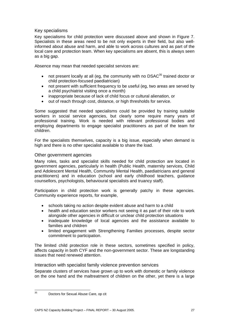#### Key specialisms

Key specialisms for child protection were discussed above and shown in Figure 7. Specialists in these areas need to be not only experts in their field, but also wellinformed about abuse and harm, and able to work across cultures and as part of the local care and protection team. When key specialisms are absent, this is always seen as a big gap.

Absence may mean that needed specialist services are:

- not present locally at all (eg, the community with no DSAC<sup>35</sup> trained doctor or child protection-focused paediatrician)
- not present with sufficient frequency to be useful (eg, two areas are served by a child psychiatrist visiting once a month)
- inappropriate because of lack of child focus or cultural alienation, or
- out of reach through cost, distance, or high thresholds for service.

Some suggested that needed specialisms could be provided by training suitable workers in social service agencies, but clearly some require many years of professional training. Work is needed with relevant professional bodies and employing departments to engage specialist practitioners as part of the team for children.

For the specialists themselves, capacity is a big issue, especially when demand is high and there is no other specialist available to share the load.

#### Other government agencies

Many roles, tasks and specialist skills needed for child protection are located in government agencies, particularly in health (Public Health, maternity services, Child and Adolescent Mental Health, Community Mental Health, paediatricians and general practitioners) and in education (school and early childhood teachers, guidance counsellors, psychologists, behavioural specialists and truancy staff).

Participation in child protection work is generally patchy in these agencies. Community experience reports, for example,

- schools taking no action despite evident abuse and harm to a child
- health and education sector workers not seeing it as part of their role to work alongside other agencies in difficult or unclear child protection situations
- inadequate knowledge of local agencies and the assistance available to families and children
- limited engagement with Strengthening Families processes, despite sector commitment to participation.

The limited child protection role in these sectors, sometimes specified in policy, affects capacity in both CYF and the non-government sector. These are longstanding issues that need renewed attention.

Interaction with specialist family violence prevention services

Separate clusters of services have grown up to work with domestic or family violence on the one hand and the maltreatment of children on the other, yet there is a large

 $35$ 

Doctors for Sexual Abuse Care, op cit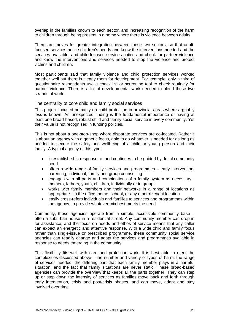overlap in the families known to each sector, and increasing recognition of the harm to children through being present in a home where there is violence between adults.

There are moves for greater integration between these two sectors, so that adultfocused services notice children's needs and know the interventions needed and the services available, and child-focused services notice and check for partner violence and know the interventions and services needed to stop the violence and protect victims and children.

Most participants said that family violence and child protection services worked together well but there is clearly room for development. For example, only a third of questionnaire respondents use a check list or screening tool to check routinely for partner violence. There is a lot of developmental work needed to blend these two strands of work.

#### The centrality of core child and family social services

This project focused primarily on child protection in provincial areas where arguably less is known. An unexpected finding is the fundamental importance of having at least one broad-based, robust child and family social service in every community. Yet their value is not recognised in funding policies.

This is not about a one-stop-shop where disparate services are co-located. Rather it is about an agency with a generic focus, able to do whatever is needed for as long as needed to secure the safety and wellbeing of a child or young person and their family. A typical agency of this type:

- is established in response to, and continues to be guided by, local community need
- offers a wide range of family services and programmes early intervention; parenting; individual, family and group counselling
- engages with all parts and combinations of a family system as necessary mothers, fathers, youth, children, individually or in groups
- works with family members and their networks in a range of locations as appropriate - in the office, home, school, or any other relevant location
- easily cross-refers individuals and families to services and programmes within the agency, to provide whatever mix best meets the need.

Commonly, these agencies operate from a simple, accessible community base – often a suburban house in a residential street. Any community member can drop in for assistance, and the focus on needs and ethos of service means that any caller can expect an energetic and attentive response. With a wide child and family focus rather than single-issue or prescribed programme, these community social service agencies can readily change and adapt the services and programmes available in response to needs emerging in the community.

This flexibility fits well with care and protection work. It is best able to meet the complexities discussed above – the number and variety of types of harm; the range of services needed; the differing part that each family member plays in a harmful situation; and the fact that family situations are never static. These broad-based agencies can provide the overview that keeps all the parts together. They can step up or step down the intensity of services as families move back and forth through early intervention, crisis and post-crisis phases, and can move, adapt and stay involved over time.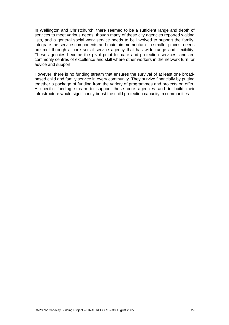In Wellington and Christchurch, there seemed to be a sufficient range and depth of services to meet various needs, though many of these city agencies reported waiting lists, and a general social work service needs to be involved to support the family, integrate the service components and maintain momentum. In smaller places, needs are met through a core social service agency that has wide range and flexibility. These agencies become the pivot point for care and protection services, and are commonly centres of excellence and skill where other workers in the network turn for advice and support.

However, there is no funding stream that ensures the survival of at least one broadbased child and family service in every community. They survive financially by putting together a package of funding from the variety of programmes and projects on offer. A specific funding stream to support these core agencies and to build their infrastructure would significantly boost the child protection capacity in communities.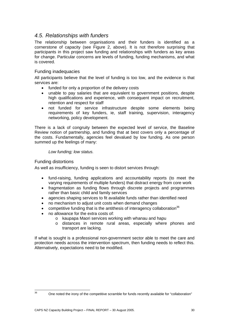### *4.5. Relationships with funders*

The relationship between organisations and their funders is identified as a cornerstone of capacity (see Figure 2, above). It is not therefore surprising that participants in this project saw funding and relationships with funders as key areas for change. Particular concerns are levels of funding, funding mechanisms, and what is covered.

#### Funding inadequacies

All participants believe that the level of funding is too low, and the evidence is that services are:

- funded for only a proportion of the delivery costs
- unable to pay salaries that are equivalent to government positions, despite high qualifications and experience, with consequent impact on recruitment, retention and respect for staff
- not funded for service infrastructure despite some elements being requirements of key funders, ie, staff training, supervision, interagency networking, policy development.

There is a lack of congruity between the expected level of service, the Baseline Review notion of partnership, and funding that at best covers only a percentage of the costs. Fundamentally, agencies feel devalued by low funding. As one person summed up the feelings of many:

*Low funding; low status.* 

#### Funding distortions

As well as insufficiency, funding is seen to distort services through:

- fund-raising, funding applications and accountability reports (to meet the varying requirements of multiple funders) that distract energy from core work
- fragmentation as funding flows through discrete projects and programmes rather than basic child and family services
- agencies shaping services to fit available funds rather than identified need
- no mechanism to adjust unit costs when demand changes
- competitive funding that is the antithesis of interagency collaboration<sup>36</sup>
- no allowance for the extra costs of:
	- o kaupapa Maori services working with whanau and hapu
	- o distances in remote rural areas, especially where phones and transport are lacking.

If what is sought is a professional non-government sector able to meet the care and protection needs across the intervention spectrum, then funding needs to reflect this. Alternatively, expectations need to be modified.

 $36$ 

One noted the irony of the competitive scramble for funds recently available for "collaboration"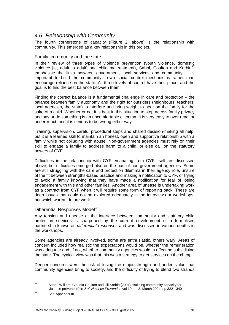## *4.6. Relationship with Community*

The fourth cornerstone of capacity (Figure 2, above) is the relationship with community. This emerged as a key relationship in this project.

#### Family, community and the state

In their review of three types of violence prevention (youth violence, domestic violence [ie, adult to adult] and child maltreatment), Sabol, Coulton and Korbin $37$ emphasise the links between government, local services and community. It is important to build the community's own social control mechanisms rather than encourage reliance on the state. All three levels of control have their place, and the goal is to find the best balance between them.

Finding the correct balance is a fundamental challenge in care and protection – the balance between family autonomy and the right for outsiders (neighbours, teachers, local agencies, the state) to interfere and bring weight to bear on the family for the sake of a child. Whether or not it is best in this situation to step across family privacy and say or do something is an uncomfortable dilemma. It is very easy to over-react or under-react, and it is serious to be wrong either way.

Training, supervision, careful procedural steps and shared decision-making all help, but it is a learned skill to maintain an honest, open and supportive relationship with a family while not colluding with abuse. Non-government agencies must rely on their skill to engage a family to address harm to a child, or else call on the statutory powers of CYF.

Difficulties in the relationship with CYF emanating from CYF itself are discussed above, but difficulties emerged also on the part of non-government agencies. Some are still struggling with the care and protection dilemma in their agency role, unsure of the fit between strengths-based practice and making a notification to CYF, or trying to avoid a family knowing that they have made a notification for fear of losing engagement with this and other families. Another area of unease is undertaking work as a contract from CYF when it will require some form of reporting back. These are deep issues that could not be explored adequately in the interviews or workshops, but which warrant future work.

#### Differential Responses Model<sup>38</sup>

Any tension and unease at the interface between community and statutory child protection services is sharpened by the current development of a formalised partnership known as *differential responses* and was discussed in various depths in the workshops.

Some agencies are already involved, some are enthusiastic, others wary. Areas of concern included how realistic the expectations would be, whether the remuneration was adequate and, if not, whether community agencies would in effect be subsidising the state. The cynical view was that this was a strategy to get services on the cheap.

Deeper concerns were the risk of losing the major strength and added value that community agencies bring to society, and the difficulty of trying to blend two strands

<sup>37</sup> Sabol, William, Claudia Coulton and Jill Korbin (2004) "Building community capacity for violence prevention" in *J of Violence Prevention* vol 19 no. 3, March 2004, pp 322 - 340<br>See Appendix III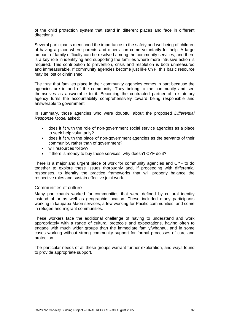of the child protection system that stand in different places and face in different directions.

Several participants mentioned the importance to the safety and wellbeing of children of having a place where parents and others can come voluntarily for help. A large amount of family difficulty can be resolved among the community services, and there is a key role in identifying and supporting the families where more intrusive action is required. This contribution to prevention, crisis and resolution is both unmeasured and immeasurable. If community agencies become just like CYF, this basic resource may be lost or diminished.

The trust that families place in their community agencies comes in part because the agencies are in and of the community. They belong to the community and see themselves as answerable to it. Becoming the contracted partner of a statutory agency turns the accountability comprehensively toward being responsible and answerable to government.

In summary, those agencies who were doubtful about the proposed *Differential Response Model* asked:

- does it fit with the role of non-government social service agencies as a place to seek help voluntarily?
- does it fit with the place of non-government agencies as the servants of their community, rather than of government?
- will resources follow?
- if there is money to buy these services, why doesn't CYF do it?

There is a major and urgent piece of work for community agencies and CYF to do together to explore these issues thoroughly and, if proceeding with differential responses, to identify the practice frameworks that will properly balance the respective roles and sustain effective joint work.

#### Communities of culture

Many participants worked for communities that were defined by cultural identity instead of or as well as geographic location. These included many participants working in kaupapa Maori services, a few working for Pacific communities, and some in refugee and migrant communities.

These workers face the additional challenge of having to understand and work appropriately with a range of cultural protocols and expectations, having often to engage with much wider groups than the immediate family/whanau, and in some cases working without strong community support for formal processes of care and protection.

The particular needs of all these groups warrant further exploration, and ways found to provide appropriate support.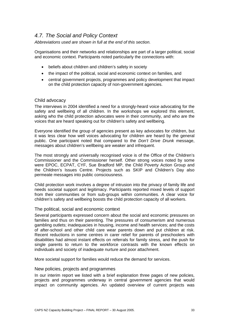# *4.7. The Social and Policy Context*

*Abbreviations used are shown in full at the end of this section.* 

Organisations and their networks and relationships are part of a larger political, social and economic context. Participants noted particularly the connections with:

- beliefs about children and children's safety in society
- the impact of the political, social and economic context on families, and
- central government projects, programmes and policy development that impact on the child protection capacity of non-government agencies.

#### Child advocacy

The interviews in 2004 identified a need for a strongly-heard voice advocating for the safety and wellbeing of all children. In the workshops we explored this element, asking who the child protection advocates were in their community, and who are the voices that are heard speaking out for children's safety and wellbeing.

Everyone identified the group of agencies present as key advocates for children, but it was less clear how well voices advocating for children are heard by the general public. One participant noted that compared to the *Don't Drive Drunk* message, messages about children's wellbeing are weaker and infrequent.

The most strongly and universally recognised voice is of the Office of the Children's Commissioner and the Commissioner herself. Other strong voices noted by some were EPOC, ECPAT, CYF, Sue Bradford MP, the Child Poverty Action Group and the Children's Issues Centre. Projects such as SKIP and Children's Day also permeate messages into public consciousness.

Child protection work involves a degree of intrusion into the privacy of family life and needs societal support and legitimacy. Participants reported mixed levels of support from their communities or from sub-groups within communities. A clear voice for children's safety and wellbeing boosts the child protection capacity of all workers.

#### The political, social and economic context

Several participants expressed concern about the social and economic pressures on families and thus on their parenting. The pressures of consumerism and numerous gambling outlets; inadequacies in housing, income and health services; and the costs of after-school and other child care wear parents down and put children at risk. Recent reductions in some centres in carer relief for parents of preschoolers with disabilities had almost instant effects on referrals for family stress, and the push for single parents to return to the workforce contrasts with the known effects on individuals and society of inadequate nurture and poor attachment.

More societal support for families would reduce the demand for services.

#### New policies, projects and programmes

In our interim report we listed with a brief explanation three pages of new policies, projects and programmes underway in central government agencies that would impact on community agencies. An updated overview of current projects was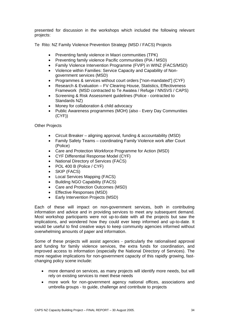presented for discussion in the workshops which included the following relevant projects:

Te Rito: NZ Family Violence Prevention Strategy (MSD / FACS) Projects

- Preventing family violence in Maori communities (TPK)
- Preventing family violence Pacific communities (PIA / MSD)
- Family Violence Intervention Programme (FVIP) in WINZ (FACS/MSD)
- Violence within Families: Service Capacity and Capability of Nongovernment services (MSD)
- Programmes & services without court orders ["non-mandated"] (CYF)
- Research & Evaluation FV Clearing House, Statistics, Effectiveness Framework (MSD contracted to Te Awatea / Refuge / NNSVS / CAPS)
- Screening & Risk Assessment guidelines (Police contracted to Standards NZ)
- Money for collaboration & child advocacy
- Public Awareness programmes (MOH) (also Every Day Communities (CYF))

Other Projects

- Circuit Breaker aligning approval, funding & accountability (MSD)
- Family Safety Teams coordinating Family Violence work after Court (Police)
- Care and Protection Workforce Programme for Action (MSD)
- CYF Differential Response Model (CYF)
- National Directory of Services (FACS)
- POL 400 B (Police / CYF)
- SKIP (FACS)
- Local Services Mapping (FACS)
- Building NGO Capability (FACS)
- Care and Protection Outcomes (MSD)
- Effective Responses (MSD)
- Early Intervention Projects (MSD)

Each of these will impact on non-government services, both in contributing information and advice and in providing services to meet any subsequent demand. Most workshop participants were not up-to-date with all the projects but saw the implications, and wondered how they could ever keep informed and up-to-date. It would be useful to find creative ways to keep community agencies informed without overwhelming amounts of paper and information.

Some of these projects will assist agencies - particularly the rationalised approval and funding for family violence services, the extra funds for coordination, and improved access to information (especially the National Directory of Services). The more negative implications for non-government capacity of this rapidly growing, fastchanging policy scene include:

- more demand on services, as many projects will identify more needs, but will rely on existing services to meet these needs
- more work for non-government agency national offices, associations and umbrella groups - to guide, challenge and contribute to projects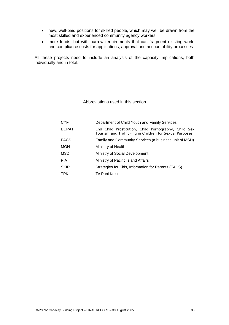- new, well-paid positions for skilled people, which may well be drawn from the most skilled and experienced community agency workers
- more funds, but with narrow requirements that can fragment existing work, and compliance costs for applications, approval and accountability processes

All these projects need to include an analysis of the capacity implications, both individually and in total.

#### Abbreviations used in this section

| <b>CYF</b>   | Department of Child Youth and Family Services                                                                   |
|--------------|-----------------------------------------------------------------------------------------------------------------|
| <b>ECPAT</b> | End Child Prostitution, Child Pornography, Child Sex<br>Tourism and Trafficking in Children for Sexual Purposes |
| <b>FACS</b>  | Family and Community Services (a business unit of MSD)                                                          |
| <b>MOH</b>   | Ministry of Health                                                                                              |
| <b>MSD</b>   | Ministry of Social Development                                                                                  |
| <b>PIA</b>   | Ministry of Pacific Island Affairs                                                                              |
| <b>SKIP</b>  | Strategies for Kids, Information for Parents (FACS)                                                             |
| <b>TPK</b>   | Te Puni Kokiri                                                                                                  |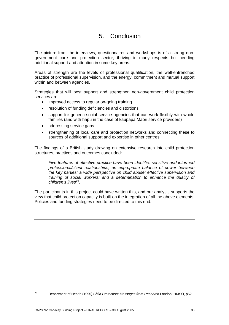# 5. Conclusion

The picture from the interviews, questionnaires and workshops is of a strong nongovernment care and protection sector, thriving in many respects but needing additional support and attention in some key areas.

Areas of strength are the levels of professional qualification, the well-entrenched practice of professional supervision, and the energy, commitment and mutual support within and between agencies.

Strategies that will best support and strengthen non-government child protection services are:

- improved access to regular on-going training
- resolution of funding deficiencies and distortions
- support for generic social service agencies that can work flexibly with whole families (and with hapu in the case of kaupapa Maori service providers)
- addressing service gaps
- strengthening of local care and protection networks and connecting these to sources of additional support and expertise in other centres.

The findings of a British study drawing on extensive research into child protection structures, practices and outcomes concluded:

*Five features of effective practice have been identifie: sensitive and informed professional/client relationships; an appropriate balance of power between the key parties; a wide perspective on child abuse; effective supervision and training of social workers; and a determination to enhance the quality of children's lives*39.

The participants in this project could have written this, and our analysis supports the view that child protection capacity is built on the integration of all the above elements. Policies and funding strategies need to be directed to this end.

 $39$ 

<sup>39</sup> Department of Health (1995) *Child Protection: Messages from Research* London: HMSO, p52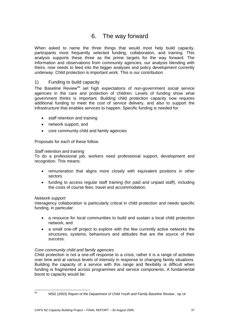# 6. The way forward

When asked to name the three things that would most help build capacity, participants most frequently selected funding, collaboration, and training. This analysis supports these three as the prime targets for the way forward. The information and observations from community agencies, our analysis blending with theirs, now needs to feed into the bigger analyses and policy development currently underway. Child protection is important work. This is our contribution.

#### 1) Funding to build capacity

The Baseline Review<sup>40</sup> set high expectations of non-government social service agencies in the care and protection of children. Levels of funding show what government thinks is important. Building child protection capacity now requires additional funding to meet the cost of service delivery, and also to support the infrastructure that enables services to happen. Specific funding is needed for:

- staff retention and training
- network support, and
- core community child and family agencies

Proposals for each of these follow.

#### *Staff retention and training*

To do a professional job, workers need professional support, development and recognition. This means:

- remuneration that aligns more closely with equivalent positions in other sectors
- funding to access regular staff training (for paid and unpaid staff), including the costs of course fees, travel and accommodation.

#### *Network support*

Interagency collaboration is particularly critical in child protection and needs specific funding, in particular:

- a resource for local communities to build and sustain a local child protection network, and
- a small one-off project to explore with the few currently active networks the structures, systems, behaviours and attitudes that are the source of their success.

#### *Core community child and family agencies*

Child protection is not a one-off response to a crisis; rather it is a range of activities over time and at various levels of intensity in response to changing family situations. Building the capacity of a service with this range and flexibility is difficult when funding is fragmented across programmes and service components. A fundamental boost to capacity would be:

 $40<sup>1</sup>$ 

<sup>40</sup> MSD (2003) *Report of the Department of Child Youth and Family Baseline Review ,* op cit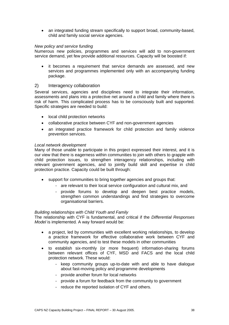• an integrated funding stream specifically to support broad, community-based, child and family social service agencies.

#### *New policy and service funding*

Numerous new policies, programmes and services will add to non-government service demand, yet few provide additional resources. Capacity will be boosted if:

• it becomes a requirement that service demands are assessed, and new services and programmes implemented only with an accompanying funding package.

#### 2) Interagency collaboration

Several services, agencies and disciplines need to integrate their information, assessments and plans into a protective net around a child and family where there is risk of harm. This complicated process has to be consciously built and supported. Specific strategies are needed to build:

- local child protection networks
- collaborative practice between CYF and non-government agencies
- an integrated practice framework for child protection and family violence prevention services.

#### *Local network development*

Many of those unable to participate in this project expressed their interest, and it is our view that there is eagerness within communities to join with others to grapple with child protection issues, to strengthen interagency relationships, including with relevant government agencies, and to jointly build skill and expertise in child protection practice. Capacity could be built through:

- support for communities to bring together agencies and groups that:
	- are relevant to their local service configuration and cultural mix, and
	- provide forums to develop and deepen best practice models, strengthen common understandings and find strategies to overcome organisational barriers.

#### *Building relationships with Child Youth and Family*

The relationship with CYF is fundamental, and critical if the *Differential Responses Model* is implemented*.* A way forward would be:

- a project, led by communities with excellent working relationships, to develop a practice framework for effective collaborative work between CYF and community agencies, and to test these models in other communities
- to establish six-monthly (or more frequent) information-sharing forums between relevant offices of CYF, MSD and FACS and the local child protection network. These would:
	- keep community groups up-to-date with and able to have dialogue about fast-moving policy and programme developments
	- provide another forum for local networks
	- provide a forum for feedback from the community to government
	- reduce the reported isolation of CYF and others.